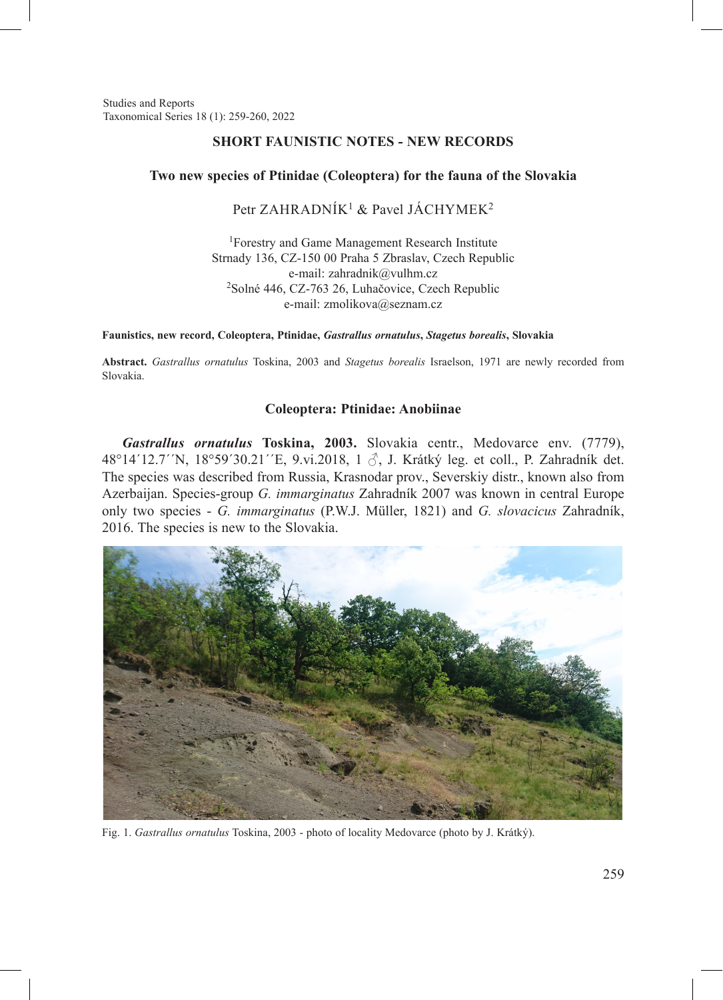Studies and Reports Taxonomical Series 18 (1): 259-260, 2022

## **SHORT FAUNISTIC NOTES - NEW RECORDS**

### **Two new species of Ptinidae (Coleoptera) for the fauna of the Slovakia**

# Petr ZAHRADNÍK<sup>1</sup> & Pavel JÁCHYMEK<sup>2</sup>

1Forestry and Game Management Research Institute Strnady 136, CZ-150 00 Praha 5 Zbraslav, Czech Republic e-mail: zahradnik@vulhm.cz <sup>2</sup>Solné 446, CZ-763 26, Luhačovice, Czech Republic e-mail: zmolikova@seznam.cz

**Faunistics, new record, Coleoptera, Ptinidae,** *Gastrallus ornatulus***,** *Stagetus borealis***, Slovakia**

**Abstract.** *Gastrallus ornatulus* Toskina, 2003 and *Stagetus borealis* Israelson, 1971 are newly recorded from Slovakia.

## **Coleoptera: Ptinidae: Anobiinae**

*Gastrallus ornatulus* **Toskina, 2003.** Slovakia centr., Medovarce env. (7779), 48°14´12.7´´N, 18°59´30.21´´E, 9.vi.2018, 1 ♂, J. Krátký leg. et coll., P. Zahradník det. The species was described from Russia, Krasnodar prov., Severskiy distr., known also from Azerbaijan. Species-group *G. immarginatus* Zahradník 2007 was known in central Europe only two species - *G. immarginatus* (P.W.J. Müller, 1821) and *G. slovacicus* Zahradník, 2016. The species is new to the Slovakia.



Fig. 1. *Gastrallus ornatulus* Toskina, 2003 - photo of locality Medovarce (photo by J. Krátký).